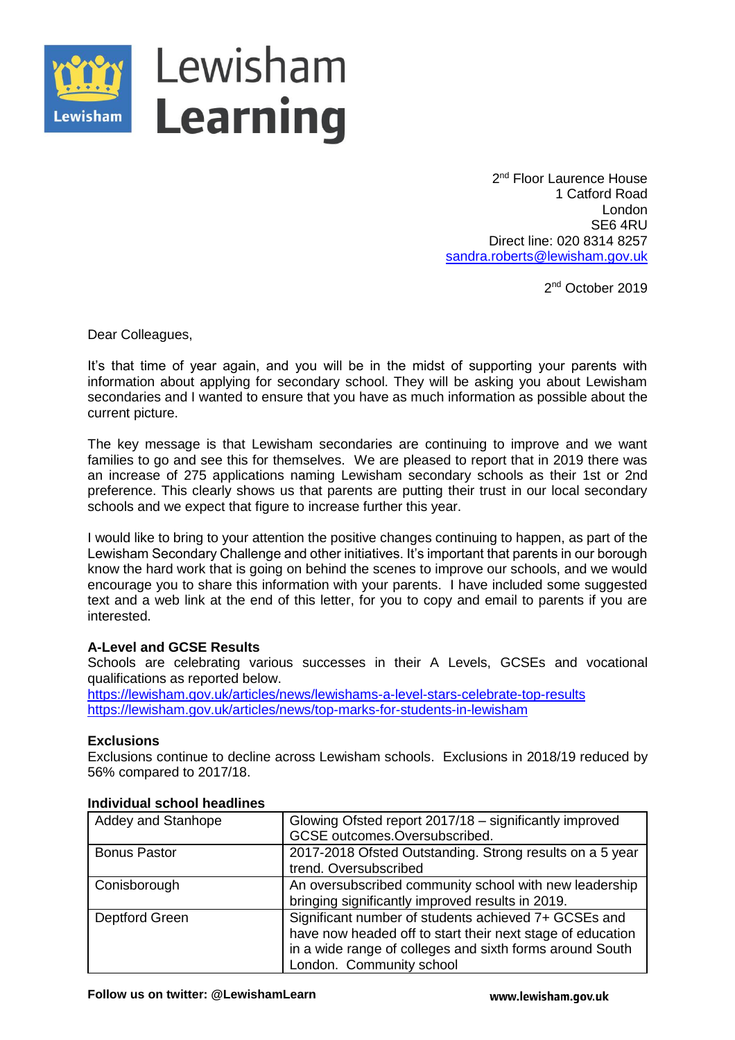

2<sup>nd</sup> Floor Laurence House 1 Catford Road London SE6 4RU Direct line: 020 8314 8257 [sandra.roberts@lewisham.gov.uk](mailto:sandra.roberts@lewisham.gov.uk)

2<sup>nd</sup> October 2019

Dear Colleagues,

It's that time of year again, and you will be in the midst of supporting your parents with information about applying for secondary school. They will be asking you about Lewisham secondaries and I wanted to ensure that you have as much information as possible about the current picture.

The key message is that Lewisham secondaries are continuing to improve and we want families to go and see this for themselves. We are pleased to report that in 2019 there was an increase of 275 applications naming Lewisham secondary schools as their 1st or 2nd preference. This clearly shows us that parents are putting their trust in our local secondary schools and we expect that figure to increase further this year.

I would like to bring to your attention the positive changes continuing to happen, as part of the Lewisham Secondary Challenge and other initiatives. It's important that parents in our borough know the hard work that is going on behind the scenes to improve our schools, and we would encourage you to share this information with your parents. I have included some suggested text and a web link at the end of this letter, for you to copy and email to parents if you are interested.

# **A-Level and GCSE Results**

Schools are celebrating various successes in their A Levels, GCSEs and vocational qualifications as reported below.

<https://lewisham.gov.uk/articles/news/lewishams-a-level-stars-celebrate-top-results> <https://lewisham.gov.uk/articles/news/top-marks-for-students-in-lewisham>

# **Exclusions**

Exclusions continue to decline across Lewisham schools. Exclusions in 2018/19 reduced by 56% compared to 2017/18.

| Addey and Stanhope  | Glowing Ofsted report 2017/18 – significantly improved     |
|---------------------|------------------------------------------------------------|
|                     | GCSE outcomes.Oversubscribed.                              |
| <b>Bonus Pastor</b> | 2017-2018 Ofsted Outstanding. Strong results on a 5 year   |
|                     | trend. Oversubscribed                                      |
| Conisborough        | An oversubscribed community school with new leadership     |
|                     | bringing significantly improved results in 2019.           |
| Deptford Green      | Significant number of students achieved 7+ GCSEs and       |
|                     | have now headed off to start their next stage of education |
|                     | in a wide range of colleges and sixth forms around South   |
|                     | London. Community school                                   |

#### **Individual school headlines**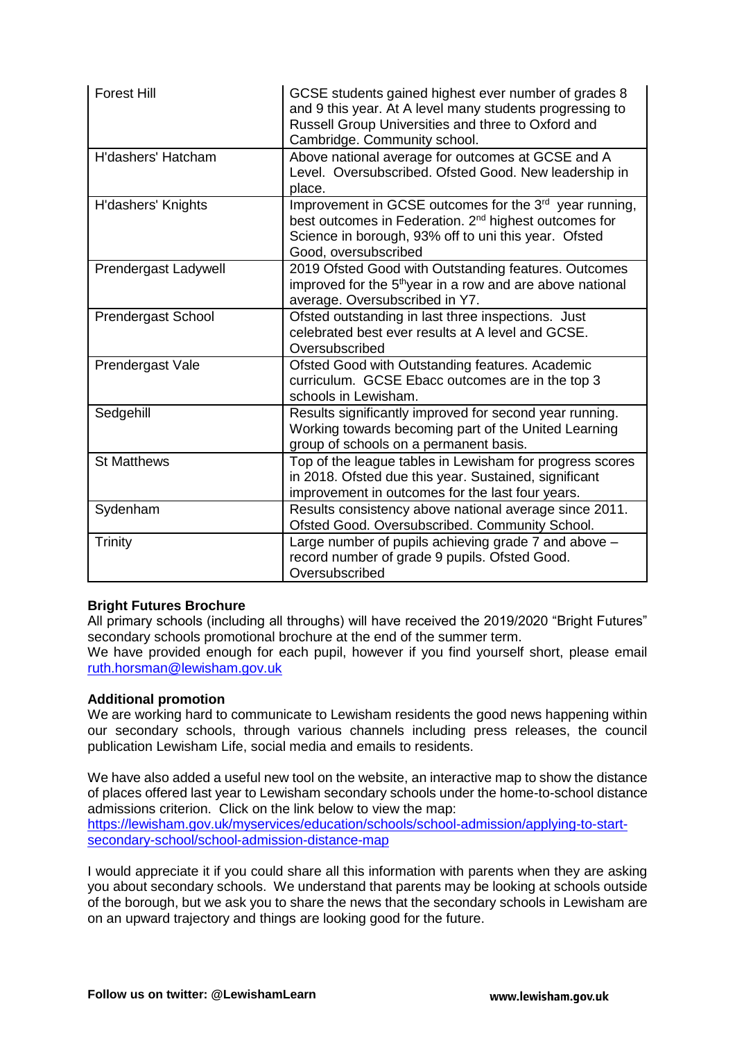| <b>Forest Hill</b>        | GCSE students gained highest ever number of grades 8<br>and 9 this year. At A level many students progressing to<br>Russell Group Universities and three to Oxford and<br>Cambridge. Community school.                  |
|---------------------------|-------------------------------------------------------------------------------------------------------------------------------------------------------------------------------------------------------------------------|
| H'dashers' Hatcham        | Above national average for outcomes at GCSE and A<br>Level. Oversubscribed. Ofsted Good. New leadership in<br>place.                                                                                                    |
| H'dashers' Knights        | Improvement in GCSE outcomes for the 3 <sup>rd</sup> year running,<br>best outcomes in Federation. 2 <sup>nd</sup> highest outcomes for<br>Science in borough, 93% off to uni this year. Ofsted<br>Good, oversubscribed |
| Prendergast Ladywell      | 2019 Ofsted Good with Outstanding features. Outcomes<br>improved for the 5 <sup>th</sup> year in a row and are above national<br>average. Oversubscribed in Y7.                                                         |
| <b>Prendergast School</b> | Ofsted outstanding in last three inspections. Just<br>celebrated best ever results at A level and GCSE.<br>Oversubscribed                                                                                               |
| Prendergast Vale          | Ofsted Good with Outstanding features. Academic<br>curriculum. GCSE Ebacc outcomes are in the top 3<br>schools in Lewisham.                                                                                             |
| Sedgehill                 | Results significantly improved for second year running.<br>Working towards becoming part of the United Learning<br>group of schools on a permanent basis.                                                               |
| <b>St Matthews</b>        | Top of the league tables in Lewisham for progress scores<br>in 2018. Ofsted due this year. Sustained, significant<br>improvement in outcomes for the last four years.                                                   |
| Sydenham                  | Results consistency above national average since 2011.<br>Ofsted Good. Oversubscribed. Community School.                                                                                                                |
| <b>Trinity</b>            | Large number of pupils achieving grade 7 and above -<br>record number of grade 9 pupils. Ofsted Good.<br>Oversubscribed                                                                                                 |

# **Bright Futures Brochure**

All primary schools (including all throughs) will have received the 2019/2020 "Bright Futures" secondary schools promotional brochure at the end of the summer term.

We have provided enough for each pupil, however if you find yourself short, please email [ruth.horsman@lewisham.gov.uk](mailto:ruth.horsman@lewisham.gov.uk)

#### **Additional promotion**

We are working hard to communicate to Lewisham residents the good news happening within our secondary schools, through various channels including press releases, the council publication Lewisham Life, social media and emails to residents.

We have also added a useful new tool on the website, an interactive map to show the distance of places offered last year to Lewisham secondary schools under the home-to-school distance admissions criterion. Click on the link below to view the map: [https://lewisham.gov.uk/myservices/education/schools/school-admission/applying-to-start](https://lewisham.gov.uk/myservices/education/schools/school-admission/applying-to-start-secondary-school/school-admission-distance-map)[secondary-school/school-admission-distance-map](https://lewisham.gov.uk/myservices/education/schools/school-admission/applying-to-start-secondary-school/school-admission-distance-map)

I would appreciate it if you could share all this information with parents when they are asking you about secondary schools. We understand that parents may be looking at schools outside of the borough, but we ask you to share the news that the secondary schools in Lewisham are on an upward trajectory and things are looking good for the future.